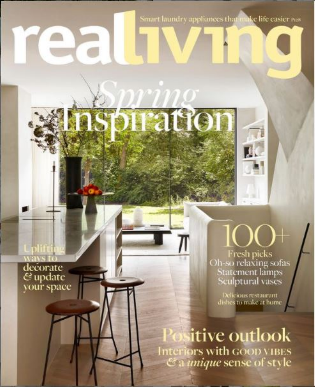Smart laundry appliances that make life casier ros

**STIP** 

decorate<br>& update<br>your space

Fresh picks<br>Oh-so relaxing sofas<br>Sculptural vases

Delicious restaurant<br>dishes to make at home

sitive outlook Interiors with GOOD VIBES<br>a *unique* sense of style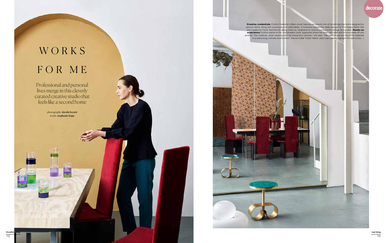

# W O R K S FOR ME

photography **davide lovatti** words stephanie hope

**Creative credentials** Cristina Celestino's Milan studio features an eclectic mix of furnishings that she's designed for various clients, along with prototypes and collectables. A turquoise-topped low table was part of The Happy Room that she created for Fendi. Red Rennie dining chairs by Takahama for Gavina surround the vintage dining table. **Hands-on experience** Cristina stands at the 'conversation zone' (opposite) where her team can meet and bounce ideas off one another. "For creatives, smart working can't be a long-term solution," she says. "We need to see and touch the materials in a welcoming, intimate environment." Farrow & Ball 'Indian Yellow' paint was used to highlight the wall niches. →

Professional and personal lives merge in this cleverly curated creative studio that feels like a second home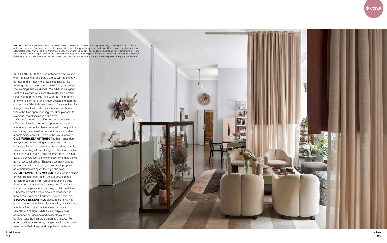

Curtain call The expansive open-plan area upstairs is divided into different working zones using curtain partitions. Cristina opted for a layered effect for a more contemporary vibe, combining pink-ivory sheer curtains with a monochromatic canvas in a terracotta shade that stops 1.4m from the ground. Working to this palette, she added beige mohair velvet armchairs by Tecno and a large Capitoline rug in warm shades of brown and beige that she designed for Fendi. A satin-steel and cement-lacquered Caori table by Vico Magistretti for Gavina inspired the green custom storage cabinets, which help keep the space clutter-free.

Cristina's needs may differ to ours – designing an office that feels like home, as opposed to creating a work environment within a home – but many of the decorating ideas used in her studio are applicable to a home office context. Here are the key takeaways… **GIVE YOURSELF OPTIONS** The best ideas don't always come while sitting at a desk, so consider creating a few work zones at home – inside, outside, seated, standing – to mix things up. Cristina's studio has a convivial meeting area centred around a dining table, a conversation zone with cosy armchairs as well as her personal office. "There are so many spaces where I can think and read, moving my laptop from an armchair to sitting on the rug," she says. **BUILD TEMPORARY 'WALLS'** If you live in a studio or work from an open-plan living space, a simple curtain or screen divider will be a godsend during times when privacy or focus is needed. Cristina has divided her large warehouse using curtain partitions. "They feel domestic while providing flexibility and functionality to support our work needs," she tells. **STORAGE ESSENTIALS** Because clutter is not conducive to productivity, storage is key. For Cristina, a series of functional cabinets keep fabrics and samples out of sight, while a clear display case showcases her designs and delineates a sort of corridor past the intimate conversation space. For a home office, bookcases, hanging shelves and desk trays can all help keep work supplies in order.  $\rightarrow$ 



IN RECENT TIMES, the lines between home life and work life have well and truly blurred. WFH is the new normal, and for many, the traditional nine-to-five working day has taken a more fluid form, spreading into evenings and weekends. Milan-based designer Cristina Celestino was living this reality long before Covid crashed the party, and when on the hunt for a new office for her brand Attico Design, she had the concept of a 'studio-home' in mind. "I was looking for a large space that could become a second home, where the time spent working would be pleasant for everyone, myself included," she says.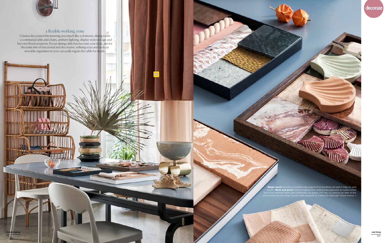# a flexible working zone

Cristina decorated this meeting area much like a domestic dining room – a communal table and chairs, ambient lighting, display-style storage and her own floral creations. If your dining table has become your desk, aim for the same mix of functional and decorative, utilising trays and racks as movable organisers so you can easily regain the table for meals.

12000





@reallivingmag

116